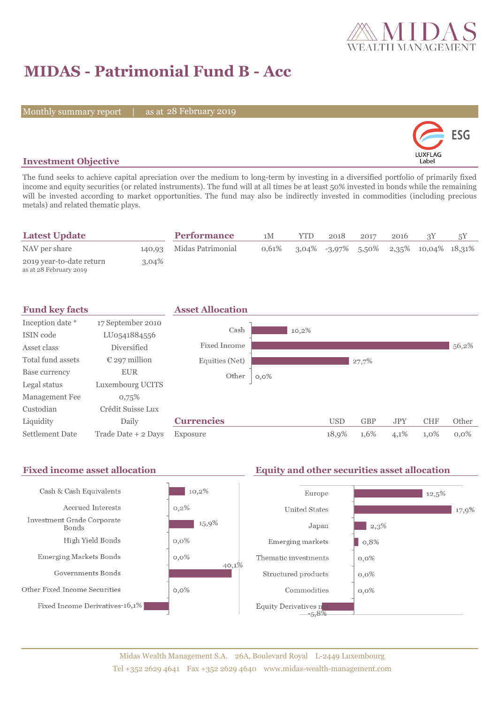

# **MIDAS - Patrimonial Fund B - Acc**

Monthly summary report | as at 28 February 2019



### **Investment Objective**

The fund seeks to achieve capital apreciation over the medium to long-term by investing in a diversified portfolio of primarily fixed income and equity securities (or related instruments). The fund will at all times be at least 50% invested in bonds while the remaining will be invested according to market opportunities. The fund may also be indirectly invested in commodities (including precious metals) and related thematic plays.

| <b>Latest Update</b>                               |          | <b>Performance</b>       | 1M    | <b>YTD</b> | 2018 | 2017 | 2016 |                                           |  |
|----------------------------------------------------|----------|--------------------------|-------|------------|------|------|------|-------------------------------------------|--|
| NAV per share                                      |          | 140,93 Midas Patrimonial | 0.61% |            |      |      |      | $3,04\%$ -3,97% 5,50% 2,35% 10,04% 18,31% |  |
| 2019 year-to-date return<br>as at 28 February 2019 | $3.04\%$ |                          |       |            |      |      |      |                                           |  |



#### Fixed income asset allocation **Equity and other securities asset allocation** Cash & Cash Equivalents  $10,2\%$ Europe  $12,5\%$ Accrued Interests  $0,2\%$ **United States** 17,9% Investment Grade Corporate 15,9% Japan  $|2,3\%$ Bonds High Yield Bonds  $0,0\%$ Emerging markets  $0,8%$ **Emerging Markets Bonds**  $0.0\%$ Thematic investments  $0,0\%$ 40,1% Governments Bonds Structured products  $0,0\%$ Other Fixed Income Securities  $0,0\%$ Commodities  $0,0\%$ Fixed Income Derivatives-16,1% Equity Derivatives  $n_{-5,8\%}$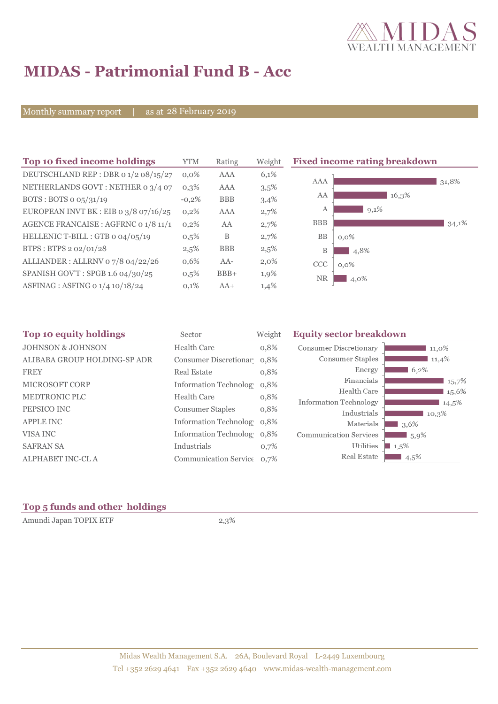

# **MIDAS - Patrimonial Fund B - Acc**

Monthly summary report | as at 28 February 2019

| Top 10 fixed income holdings            | <b>YTM</b> | Rating     | Weight  | <b>Fixed income rating breakdown</b> |
|-----------------------------------------|------------|------------|---------|--------------------------------------|
| DEUTSCHLAND REP : DBR 0 1/2 08/15/27    | $0.0\%$    | <b>AAA</b> | 6,1%    |                                      |
| NETHERLANDS GOVT: NETHER 0 3/4 07       | $0,3\%$    | AAA        | 3,5%    | <b>AAA</b><br>31,8%                  |
| BOTS: BOTS $\sigma$ 05/31/19            | $-0.2%$    | <b>BBB</b> | 3,4%    | AA<br>16,3%                          |
| EUROPEAN INVT BK : EIB o $3/8$ 07/16/25 | $0.2\%$    | <b>AAA</b> | 2,7%    | $9,1\%$<br>А                         |
| AGENCE FRANCAISE : AGFRNC 0 1/8 11/1!   | 0,2%       | AA         | 2,7%    | <b>BBB</b><br>34,1%                  |
| HELLENIC T-BILL : GTB 0 04/05/19        | 0,5%       | B          | 2,7%    | <b>BB</b><br>$0,0\%$                 |
| BTPS: BTPS 2 02/01/28                   | 2,5%       | <b>BBB</b> | 2,5%    | B<br>4,8%                            |
| ALLIANDER: ALLRNV 07/8 04/22/26         | 0,6%       | AA-        | $2,0\%$ | <b>CCC</b><br>$0,0\%$                |
| SPANISH GOV'T: SPGB 1.6 04/30/25        | $0,5\%$    | $BBB+$     | 1,9%    | <b>NR</b><br>4,0%                    |
| ASFINAG : ASFING 0 1/4 10/18/24         | 0,1%       | $AA+$      | 1,4%    |                                      |

| Top 10 equity holdings       | Sector                     | Weight | <b>Equity sector breakdown</b> |           |
|------------------------------|----------------------------|--------|--------------------------------|-----------|
| <b>JOHNSON &amp; JOHNSON</b> | Health Care                | 0,8%   | <b>Consumer Discretionary</b>  | 11,0%     |
| ALIBABA GROUP HOLDING-SP ADR | Consumer Discretionar 0,8% |        | Consumer Staples               | 11,4%     |
| <b>FREY</b>                  | Real Estate                | 0,8%   | Energy                         | 6.2%      |
| <b>MICROSOFT CORP</b>        | Information Technolog 0,8% |        | Financials                     | 15,7%     |
| <b>MEDTRONIC PLC</b>         | <b>Health Care</b>         | 0,8%   | Health Care                    | 15,6%     |
|                              |                            |        | <b>Information Technology</b>  | 14,5%     |
| PEPSICO INC                  | <b>Consumer Staples</b>    | 0,8%   | Industrials                    | 10,3%     |
| <b>APPLE INC</b>             | Information Technolog 0.8% |        | Materials                      | 3.6%      |
| VISA INC                     | Information Technolog 0.8% |        | <b>Communication Services</b>  | $1,5,9\%$ |
| <b>SAFRAN SA</b>             | Industrials                | 0,7%   | Utilities                      | $1,5\%$   |
| ALPHABET INC-CL A            | Communication Service 0.7% |        | Real Estate                    | $4,5\%$   |

## **Top 5 funds and other holdings**

Amundi Japan TOPIX ETF 2,3%